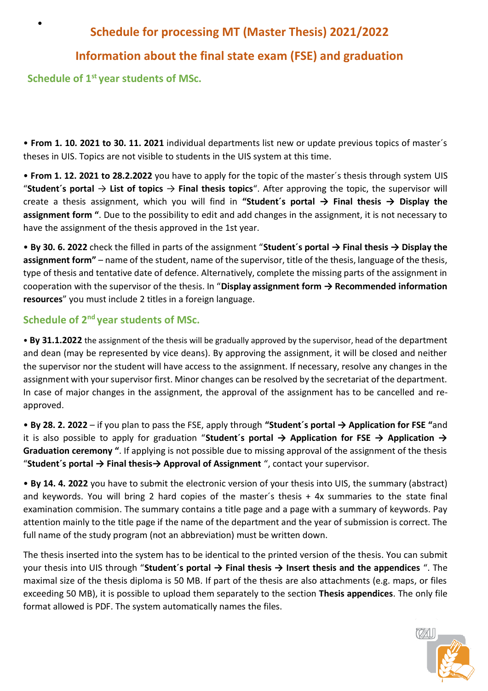# **Schedule for processing MT (Master Thesis) 2021/2022**

## **Information about the final state exam (FSE) and graduation**

**Schedule of 1st year students of MSc.** 

•

• **From 1. 10. 2021 to 30. 11. 2021** individual departments list new or update previous topics of master´s theses in UIS. Topics are not visible to students in the UIS system at this time.

• **From 1. 12. 2021 to 28.2.2022** you have to apply for the topic of the master´s thesis through system UIS "**Student´s portal** → **List of topics** → **Final thesis topics**". After approving the topic, the supervisor will create a thesis assignment, which you will find in **"Student´s portal → Final thesis → Display the assignment form "**. Due to the possibility to edit and add changes in the assignment, it is not necessary to have the assignment of the thesis approved in the 1st year.

• **By 30. 6. 2022** check the filled in parts of the assignment "**Student´s portal → Final thesis → Display the assignment form"** – name of the student, name of the supervisor, title of the thesis, language of the thesis, type of thesis and tentative date of defence. Alternatively, complete the missing parts of the assignment in cooperation with the supervisor of the thesis. In "**Display assignment form → Recommended information resources**" you must include 2 titles in a foreign language.

## **Schedule of 2nd year students of MSc.**

• **By 31.1.2022** the assignment of the thesis will be gradually approved by the supervisor, head of the department and dean (may be represented by vice deans). By approving the assignment, it will be closed and neither the supervisor nor the student will have access to the assignment. If necessary, resolve any changes in the assignment with your supervisor first. Minor changes can be resolved by the secretariat of the department. In case of major changes in the assignment, the approval of the assignment has to be cancelled and reapproved.

• **By 28. 2. 2022** – if you plan to pass the FSE, apply through **"Student´s portal → Application for FSE "**and it is also possible to apply for graduation "**Student´s portal → Application for FSE → Application → Graduation ceremony "**. If applying is not possible due to missing approval of the assignment of the thesis "**Student´s portal → Final thesis→ Approval of Assignment** ", contact your supervisor.

• **By 14. 4. 2022** you have to submit the electronic version of your thesis into UIS, the summary (abstract) and keywords. You will bring 2 hard copies of the master´s thesis + 4x summaries to the state final examination commision. The summary contains a title page and a page with a summary of keywords. Pay attention mainly to the title page if the name of the department and the year of submission is correct. The full name of the study program (not an abbreviation) must be written down.

The thesis inserted into the system has to be identical to the printed version of the thesis. You can submit your thesis into UIS through "**Student´s portal → Final thesis → Insert thesis and the appendices** ". The maximal size of the thesis diploma is 50 MB. If part of the thesis are also attachments (e.g. maps, or files exceeding 50 MB), it is possible to upload them separately to the section **Thesis appendices**. The only file format allowed is PDF. The system automatically names the files.

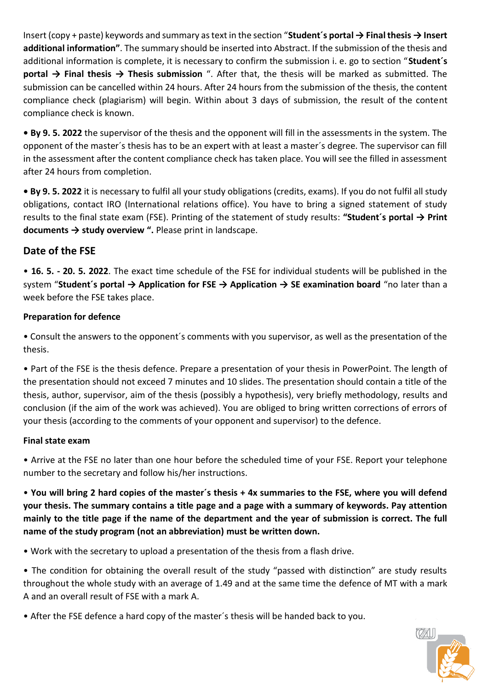Insert (copy + paste) keywords and summary as text in the section "**Student´s portal → Final thesis → Insert additional information"**. The summary should be inserted into Abstract. If the submission of the thesis and additional information is complete, it is necessary to confirm the submission i. e. go to section "**Student´s portal → Final thesis → Thesis submission** ". After that, the thesis will be marked as submitted. The submission can be cancelled within 24 hours. After 24 hours from the submission of the thesis, the content compliance check (plagiarism) will begin. Within about 3 days of submission, the result of the content compliance check is known.

**• By 9. 5. 2022** the supervisor of the thesis and the opponent will fill in the assessments in the system. The opponent of the master´s thesis has to be an expert with at least a master´s degree. The supervisor can fill in the assessment after the content compliance check has taken place. You will see the filled in assessment after 24 hours from completion.

**• By 9. 5. 2022** it is necessary to fulfil all your study obligations (credits, exams). If you do not fulfil all study obligations, contact IRO (International relations office). You have to bring a signed statement of study results to the final state exam (FSE). Printing of the statement of study results: **"Student´s portal → Print documents → study overview ".** Please print in landscape.

### **Date of the FSE**

• **16. 5. - 20. 5. 2022**. The exact time schedule of the FSE for individual students will be published in the system "**Student's portal → Application for FSE → Application → SE examination board** "no later than a week before the FSE takes place.

#### **Preparation for defence**

• Consult the answers to the opponent´s comments with you supervisor, as well as the presentation of the thesis.

• Part of the FSE is the thesis defence. Prepare a presentation of your thesis in PowerPoint. The length of the presentation should not exceed 7 minutes and 10 slides. The presentation should contain a title of the thesis, author, supervisor, aim of the thesis (possibly a hypothesis), very briefly methodology, results and conclusion (if the aim of the work was achieved). You are obliged to bring written corrections of errors of your thesis (according to the comments of your opponent and supervisor) to the defence.

#### **Final state exam**

• Arrive at the FSE no later than one hour before the scheduled time of your FSE. Report your telephone number to the secretary and follow his/her instructions.

• **You will bring 2 hard copies of the master´s thesis + 4x summaries to the FSE, where you will defend your thesis. The summary contains a title page and a page with a summary of keywords. Pay attention mainly to the title page if the name of the department and the year of submission is correct. The full name of the study program (not an abbreviation) must be written down.**

• Work with the secretary to upload a presentation of the thesis from a flash drive.

• The condition for obtaining the overall result of the study "passed with distinction" are study results throughout the whole study with an average of 1.49 and at the same time the defence of MT with a mark A and an overall result of FSE with a mark A.

• After the FSE defence a hard copy of the master´s thesis will be handed back to you.